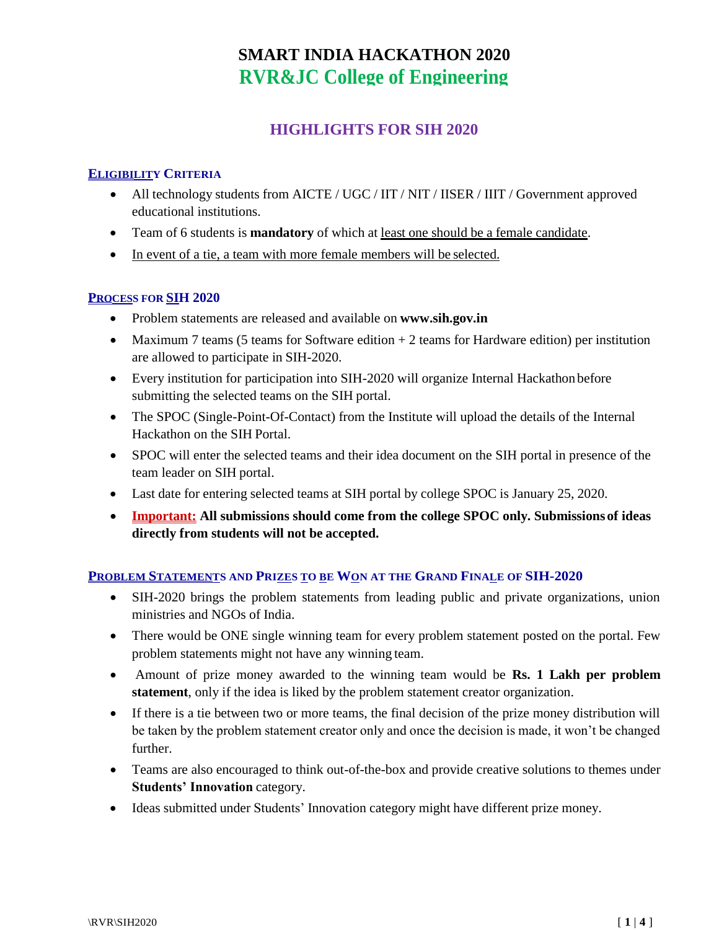# **HIGHLIGHTS FOR SIH 2020**

### **ELIGIBILITY CRITERIA**

- All technology students from AICTE / UGC / IIT / NIT / IISER / IIIT / Government approved educational institutions.
- Team of 6 students is **mandatory** of which at least one should be a female candidate.
- In event of a tie, a team with more female members will be selected.

#### **PROCESS FOR SIH 2020**

- Problem statements are released and available on **[www.sih.gov.in](http://www.sih.gov.in/)**
- Maximum 7 teams (5 teams for Software edition  $+2$  teams for Hardware edition) per institution are allowed to participate in SIH-2020.
- Every institution for participation into SIH-2020 will organize Internal Hackathon before submitting the selected teams on the SIH portal.
- The SPOC (Single-Point-Of-Contact) from the Institute will upload the details of the Internal Hackathon on the SIH Portal.
- SPOC will enter the selected teams and their idea document on the SIH portal in presence of the team leader on SIH portal.
- Last date for entering selected teams at SIH portal by college SPOC is January 25, 2020.
- **Important: All submissions should come from the college SPOC only. Submissionsof ideas directly from students will not be accepted.**

### **PROBLEM STATEMENTS AND PRIZES TO BE WON AT THE GRAND FINALE OF SIH-2020**

- SIH-2020 brings the problem statements from leading public and private organizations, union ministries and NGOs of India.
- There would be ONE single winning team for every problem statement posted on the portal. Few problem statements might not have any winning team.
- Amount of prize money awarded to the winning team would be **Rs. 1 Lakh per problem statement**, only if the idea is liked by the problem statement creator organization.
- If there is a tie between two or more teams, the final decision of the prize money distribution will be taken by the problem statement creator only and once the decision is made, it won't be changed further.
- Teams are also encouraged to think out-of-the-box and provide creative solutions to themes under **Students' Innovation** category.
- Ideas submitted under Students' Innovation category might have different prize money.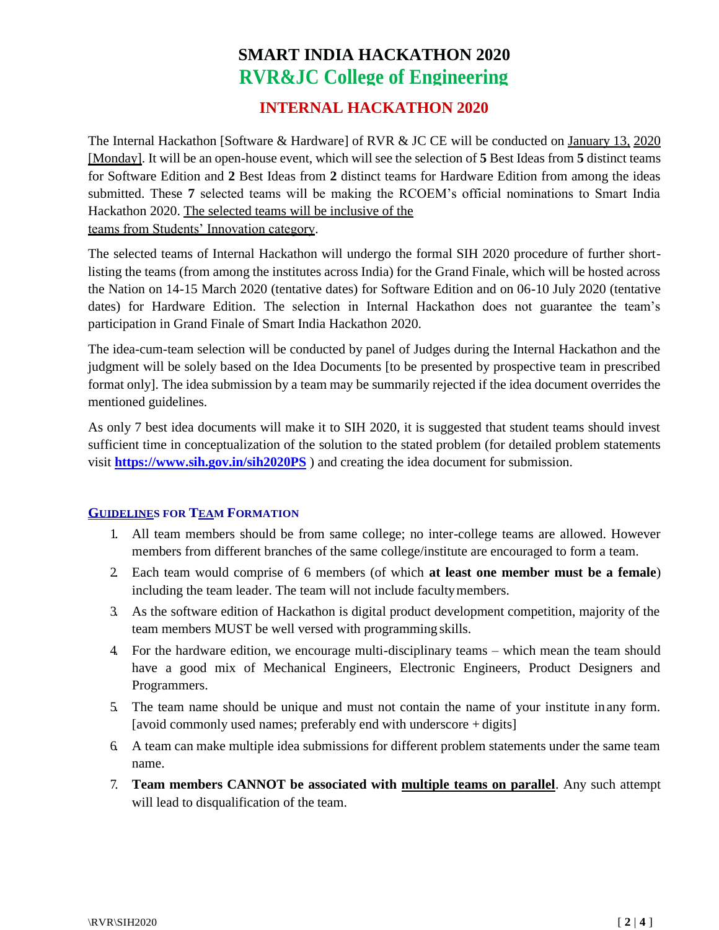# **INTERNAL HACKATHON 2020**

The Internal Hackathon [Software & Hardware] of RVR & JC CE will be conducted on January 13, 2020 [Monday]. It will be an open-house event, which will see the selection of **5** Best Ideas from **5** distinct teams for Software Edition and **2** Best Ideas from **2** distinct teams for Hardware Edition from among the ideas submitted. These **7** selected teams will be making the RCOEM's official nominations to Smart India Hackathon 2020. The selected teams will be inclusive of the

teams from Students' Innovation category.

The selected teams of Internal Hackathon will undergo the formal SIH 2020 procedure of further shortlisting the teams (from among the institutes across India) for the Grand Finale, which will be hosted across the Nation on 14-15 March 2020 (tentative dates) for Software Edition and on 06-10 July 2020 (tentative dates) for Hardware Edition. The selection in Internal Hackathon does not guarantee the team's participation in Grand Finale of Smart India Hackathon 2020.

The idea-cum-team selection will be conducted by panel of Judges during the Internal Hackathon and the judgment will be solely based on the Idea Documents [to be presented by prospective team in prescribed format only]. The idea submission by a team may be summarily rejected if the idea document overrides the mentioned guidelines.

As only 7 best idea documents will make it to SIH 2020, it is suggested that student teams should invest sufficient time in [conceptualization of the solution](https://www.sih.gov.in/sih2020PS) to the stated problem (for detailed problem statements visit **https:/[/www.sih.gov.in/sih2020PS](http://www.sih.gov.in/sih2020PS)** ) and creating the idea document for submission.

### **GUIDELINES FOR TEAM FORMATION**

- 1. All team members should be from same college; no inter-college teams are allowed. However members from different branches of the same college/institute are encouraged to form a team.
- 2. Each team would comprise of 6 members (of which **at least one member must be a female**) including the team leader. The team will not include facultymembers.
- 3. As the software edition of Hackathon is digital product development competition, majority of the team members MUST be well versed with programming skills.
- 4. For the hardware edition, we encourage multi-disciplinary teams which mean the team should have a good mix of Mechanical Engineers, Electronic Engineers, Product Designers and Programmers.
- 5. The team name should be unique and must not contain the name of your institute inany form. [avoid commonly used names; preferably end with underscore + digits]
- 6. A team can make multiple idea submissions for different problem statements under the same team name.
- 7. **Team members CANNOT be associated with multiple teams on parallel**. Any such attempt will lead to disqualification of the team.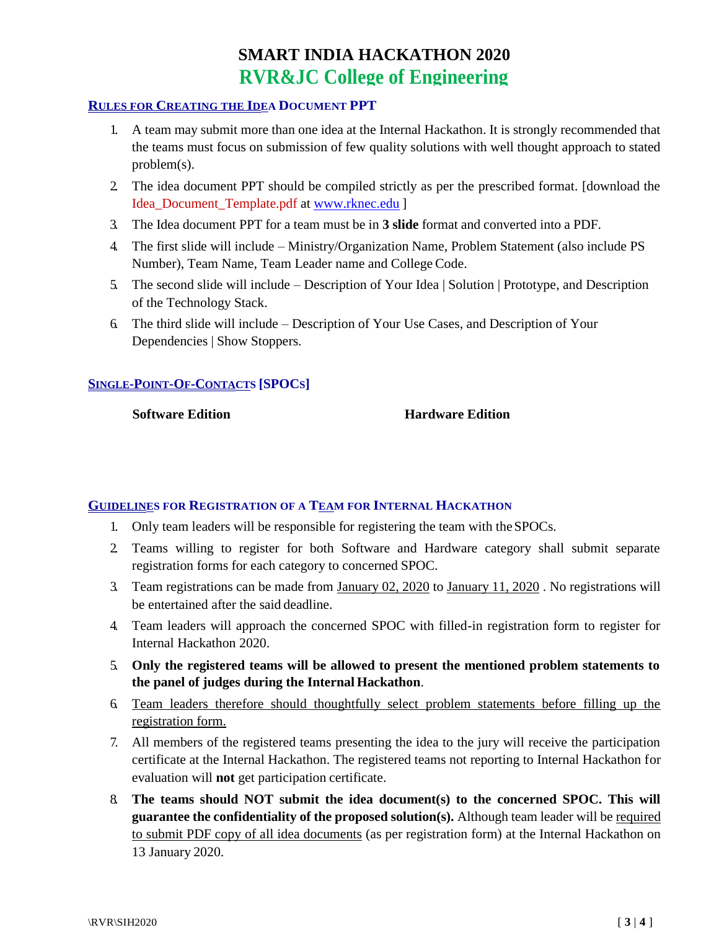#### **RULES FOR CREATING THE IDEA DOCUMENT PPT**

- 1. A team may submit more than one idea at the Internal Hackathon. It is strongly recommended that the teams must focus on submission of few quality solutions with well thought approach to stated problem(s).
- 2. The idea document PPT should be compiled strictly as per the prescribed format. [download the Idea\_Document\_Template.pdf at [www.rknec.edu](http://www.rknec.edu/) ]
- 3. The Idea document PPT for a team must be in **3 slide** format and converted into a PDF.
- 4. The first slide will include Ministry/Organization Name, Problem Statement (also include PS Number), Team Name, Team Leader name and College Code.
- 5. The second slide will include Description of Your Idea | Solution | Prototype, and Description of the Technology Stack.
- 6. The third slide will include Description of Your Use Cases, and Description of Your Dependencies | Show Stoppers.

## **SINGLE-POINT-OF-CONTACTS [SPOCS]**

**Software Edition Hardware Edition** 

### **GUIDELINES FOR REGISTRATION OF A TEAM FOR INTERNAL HACKATHON**

- 1. Only team leaders will be responsible for registering the team with theSPOCs.
- 2. Teams willing to register for both Software and Hardware category shall submit separate registration forms for each category to concerned SPOC.
- 3. Team registrations can be made from January 02, 2020 to January 11, 2020 . No registrations will be entertained after the said deadline.
- 4. Team leaders will approach the concerned SPOC with filled-in registration form to register for Internal Hackathon 2020.
- 5. **Only the registered teams will be allowed to present the mentioned problem statements to the panel of judges during the Internal Hackathon**.
- 6. Team leaders therefore should thoughtfully select problem statements before filling up the registration form.
- 7. All members of the registered teams presenting the idea to the jury will receive the participation certificate at the Internal Hackathon. The registered teams not reporting to Internal Hackathon for evaluation will **not** get participation certificate.
- 8. **The teams should NOT submit the idea document(s) to the concerned SPOC. This will guarantee the confidentiality of the proposed solution(s).** Although team leader will be required to submit PDF copy of all idea documents (as per registration form) at the Internal Hackathon on 13 January 2020.